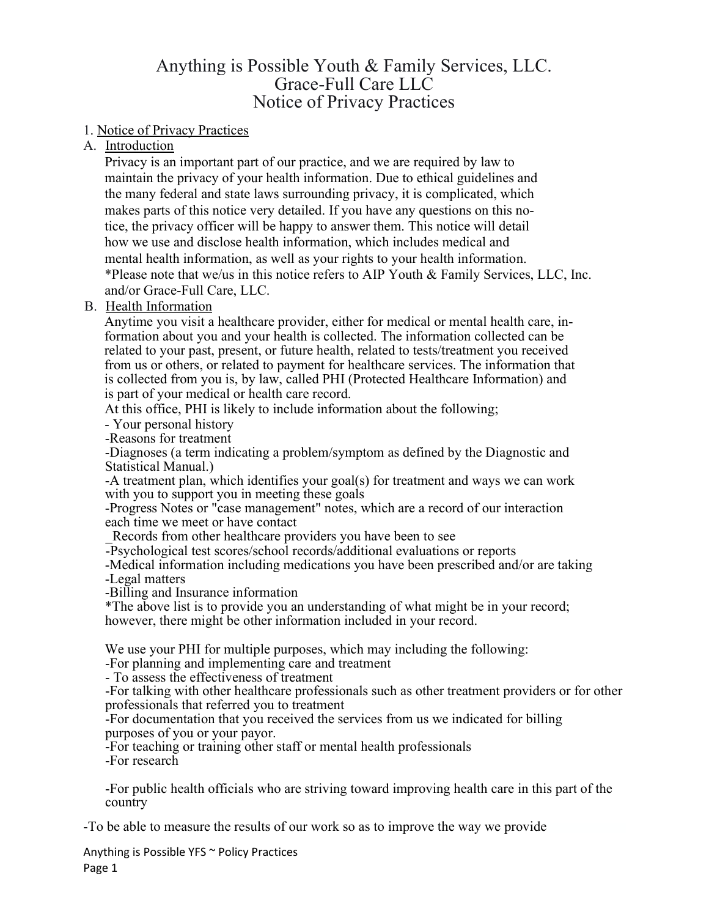# Anything is Possible Youth & Family Services, LLC. Grace-Full Care LLC Notice of Privacy Practices

# 1. Notice of Privacy Practices

# A. Introduction

Privacy is an important part of our practice, and we are required by law to maintain the privacy of your health information. Due to ethical guidelines and the many federal and state laws surrounding privacy, it is complicated, which makes parts of this notice very detailed. If you have any questions on this notice, the privacy officer will be happy to answer them. This notice will detail how we use and disclose health information, which includes medical and mental health information, as well as your rights to your health information. \*Please note that we/us in this notice refers to AIP Youth & Family Services, LLC, Inc. and/or Grace-Full Care, LLC.

# B. Health Information

Anytime you visit a healthcare provider, either for medical or mental health care, information about you and your health is collected. The information collected can be related to your past, present, or future health, related to tests/treatment you received from us or others, or related to payment for healthcare services. The information that is collected from you is, by law, called PHI (Protected Healthcare Information) and is part of your medical or health care record.

At this office, PHI is likely to include information about the following;

- Your personal history

-Reasons for treatment

-Diagnoses (a term indicating a problem/symptom as defined by the Diagnostic and Statistical Manual.)

-A treatment plan, which identifies your goal(s) for treatment and ways we can work with you to support you in meeting these goals

-Progress Notes or "case management" notes, which are a record of our interaction each time we meet or have contact

Records from other healthcare providers you have been to see

-Psychological test scores/school records/additional evaluations or reports

-Medical information including medications you have been prescribed and/or are taking

-Legal matters

-Billing and Insurance information

\*The above list is to provide you an understanding of what might be in your record; however, there might be other information included in your record.

We use your PHI for multiple purposes, which may including the following: -For planning and implementing care and treatment

- To assess the effectiveness of treatment

-For talking with other healthcare professionals such as other treatment providers or for other professionals that referred you to treatment

-For documentation that you received the services from us we indicated for billing purposes of you or your payor.

-For teaching or training other staff or mental health professionals

-For research

-For public health officials who are striving toward improving health care in this part of the country

-To be able to measure the results of our work so as to improve the way we provide

Anything is Possible YFS ~ Policy Practices Page 1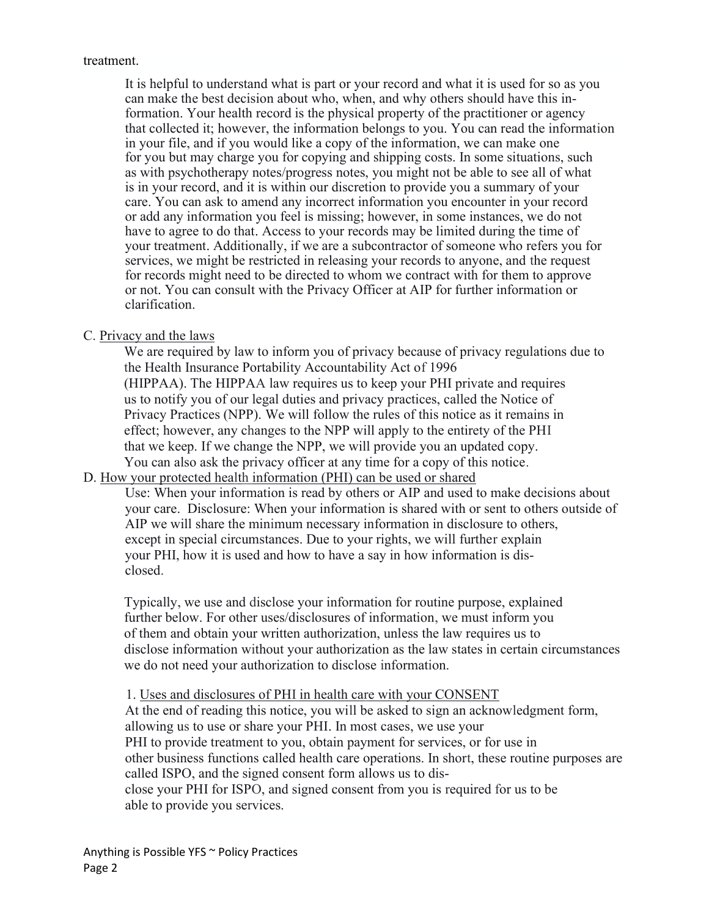#### treatment.

It is helpful to understand what is part or your record and what it is used for so as you can make the best decision about who, when, and why others should have this information. Your health record is the physical property of the practitioner or agency that collected it; however, the information belongs to you. You can read the information in your file, and if you would like a copy of the information, we can make one for you but may charge you for copying and shipping costs. In some situations, such as with psychotherapy notes/progress notes, you might not be able to see all of what is in your record, and it is within our discretion to provide you a summary of your care. You can ask to amend any incorrect information you encounter in your record or add any information you feel is missing; however, in some instances, we do not have to agree to do that. Access to your records may be limited during the time of your treatment. Additionally, if we are a subcontractor of someone who refers you for services, we might be restricted in releasing your records to anyone, and the request for records might need to be directed to whom we contract with for them to approve or not. You can consult with the Privacy Officer at AIP for further information or clarification.

# C. Privacy and the laws

We are required by law to inform you of privacy because of privacy regulations due to the Health Insurance Portability Accountability Act of 1996 (HIPPAA). The HIPPAA law requires us to keep your PHI private and requires us to notify you of our legal duties and privacy practices, called the Notice of Privacy Practices (NPP). We will follow the rules of this notice as it remains in effect; however, any changes to the NPP will apply to the entirety of the PHI that we keep. If we change the NPP, we will provide you an updated copy. You can also ask the privacy officer at any time for a copy of this notice.

# D. How your protected health information (PHI) can be used or shared

Use: When your information is read by others or AIP and used to make decisions about your care. Disclosure: When your information is shared with or sent to others outside of AIP we will share the minimum necessary information in disclosure to others, except in special circumstances. Due to your rights, we will further explain your PHI, how it is used and how to have a say in how information is disclosed.

Typically, we use and disclose your information for routine purpose, explained further below. For other uses/disclosures of information, we must inform you of them and obtain your written authorization, unless the law requires us to disclose information without your authorization as the law states in certain circumstances we do not need your authorization to disclose information.

# 1. Uses and disclosures of PHI in health care with your CONSENT

At the end of reading this notice, you will be asked to sign an acknowledgment form, allowing us to use or share your PHI. In most cases, we use your PHI to provide treatment to you, obtain payment for services, or for use in other business functions called health care operations. In short, these routine purposes are called ISPO, and the signed consent form allows us to disclose your PHI for ISPO, and signed consent from you is required for us to be able to provide you services.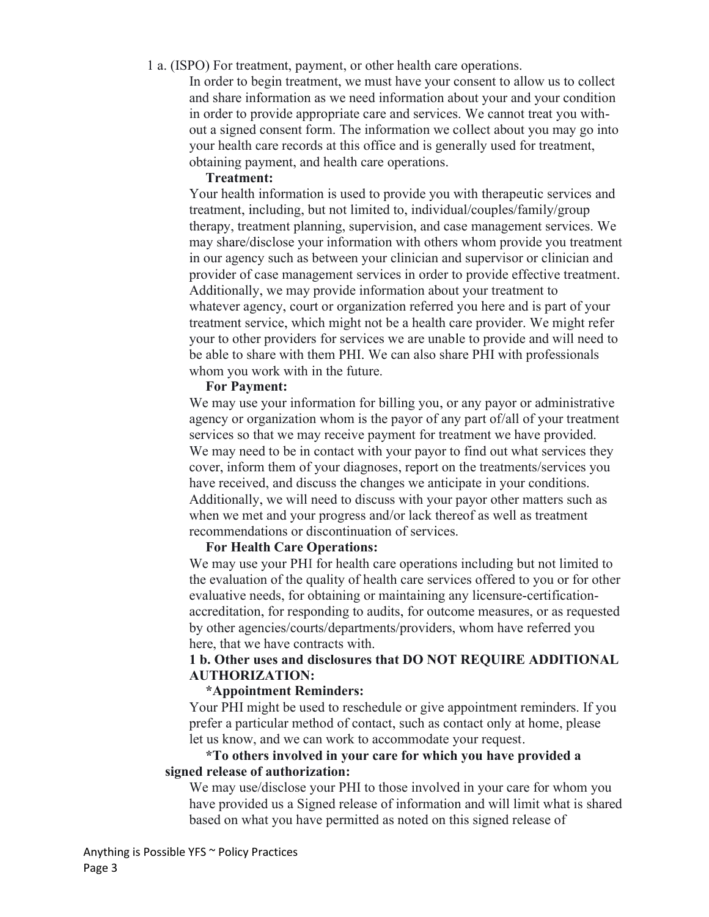#### 1 a. (ISPO) For treatment, payment, or other health care operations.

In order to begin treatment, we must have your consent to allow us to collect and share information as we need information about your and your condition in order to provide appropriate care and services. We cannot treat you without a signed consent form. The information we collect about you may go into your health care records at this office and is generally used for treatment, obtaining payment, and health care operations.

#### Treatment:

Your health information is used to provide you with therapeutic services and treatment, including, but not limited to, individual/couples/family/group therapy, treatment planning, supervision, and case management services. We may share/disclose your information with others whom provide you treatment in our agency such as between your clinician and supervisor or clinician and provider of case management services in order to provide effective treatment. Additionally, we may provide information about your treatment to whatever agency, court or organization referred you here and is part of your treatment service, which might not be a health care provider. We might refer your to other providers for services we are unable to provide and will need to be able to share with them PHI. We can also share PHI with professionals whom you work with in the future.

# For Payment:

We may use your information for billing you, or any payor or administrative agency or organization whom is the payor of any part of/all of your treatment services so that we may receive payment for treatment we have provided. We may need to be in contact with your payor to find out what services they cover, inform them of your diagnoses, report on the treatments/services you have received, and discuss the changes we anticipate in your conditions. Additionally, we will need to discuss with your payor other matters such as when we met and your progress and/or lack thereof as well as treatment recommendations or discontinuation of services.

# For Health Care Operations:

We may use your PHI for health care operations including but not limited to the evaluation of the quality of health care services offered to you or for other evaluative needs, for obtaining or maintaining any licensure-certificationaccreditation, for responding to audits, for outcome measures, or as requested by other agencies/courts/departments/providers, whom have referred you here, that we have contracts with.

# 1 b. Other uses and disclosures that DO NOT REQUIRE ADDITIONAL AUTHORIZATION:

# \*Appointment Reminders:

Your PHI might be used to reschedule or give appointment reminders. If you prefer a particular method of contact, such as contact only at home, please let us know, and we can work to accommodate your request.

# \*To others involved in your care for which you have provided a signed release of authorization:

We may use/disclose your PHI to those involved in your care for whom you have provided us a Signed release of information and will limit what is shared based on what you have permitted as noted on this signed release of